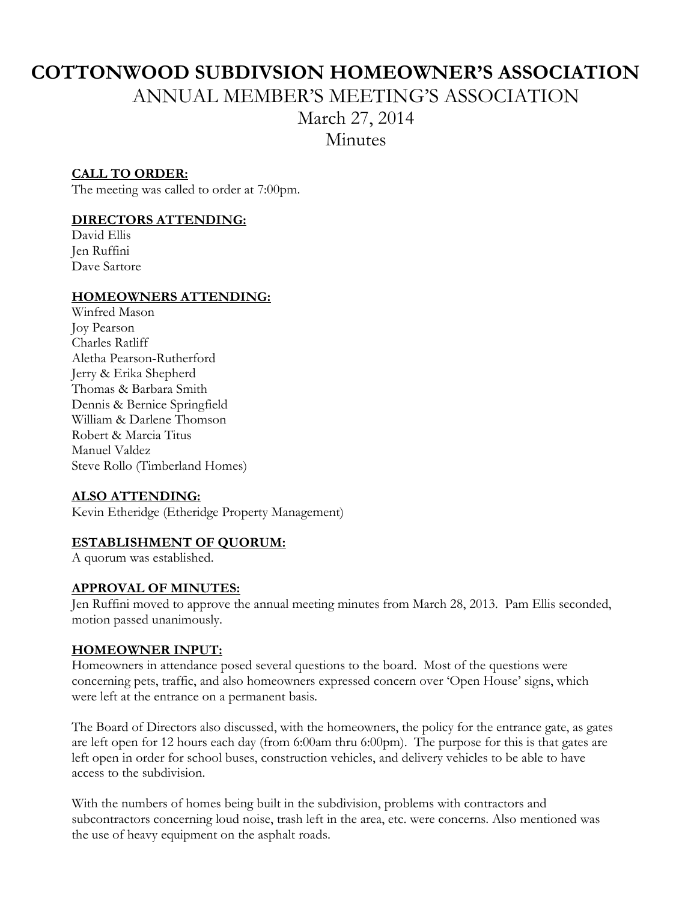# **COTTONWOOD SUBDIVSION HOMEOWNER'S ASSOCIATION**

ANNUAL MEMBER'S MEETING'S ASSOCIATION

March 27, 2014

**Minutes** 

# **CALL TO ORDER:**

The meeting was called to order at 7:00pm.

# **DIRECTORS ATTENDING:**

David Ellis Jen Ruffini Dave Sartore

# **HOMEOWNERS ATTENDING:**

Winfred Mason Joy Pearson Charles Ratliff Aletha Pearson-Rutherford Jerry & Erika Shepherd Thomas & Barbara Smith Dennis & Bernice Springfield William & Darlene Thomson Robert & Marcia Titus Manuel Valdez Steve Rollo (Timberland Homes)

# **ALSO ATTENDING:**

Kevin Etheridge (Etheridge Property Management)

# **ESTABLISHMENT OF QUORUM:**

A quorum was established.

#### **APPROVAL OF MINUTES:**

Jen Ruffini moved to approve the annual meeting minutes from March 28, 2013. Pam Ellis seconded, motion passed unanimously.

# **HOMEOWNER INPUT:**

Homeowners in attendance posed several questions to the board. Most of the questions were concerning pets, traffic, and also homeowners expressed concern over 'Open House' signs, which were left at the entrance on a permanent basis.

The Board of Directors also discussed, with the homeowners, the policy for the entrance gate, as gates are left open for 12 hours each day (from 6:00am thru 6:00pm). The purpose for this is that gates are left open in order for school buses, construction vehicles, and delivery vehicles to be able to have access to the subdivision.

With the numbers of homes being built in the subdivision, problems with contractors and subcontractors concerning loud noise, trash left in the area, etc. were concerns. Also mentioned was the use of heavy equipment on the asphalt roads.